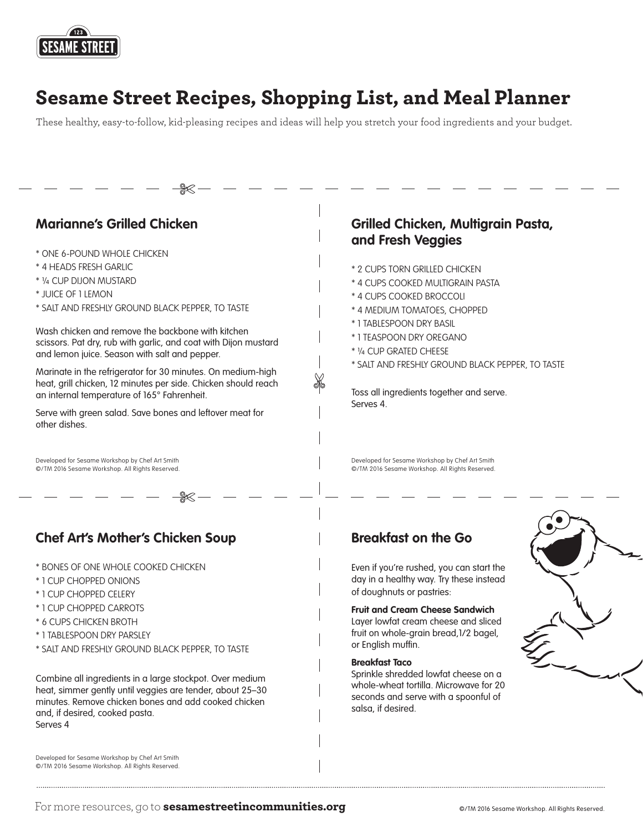

# Sesame Street Recipes, Shopping List, and Meal Planner

These healthy, easy-to-follow, kid-pleasing recipes and ideas will help you stretch your food ingredients and your budget.



For more resources, go to **<sesamestreetincommunities.org>** entitled and the exame Workshop. All Rights Reserved.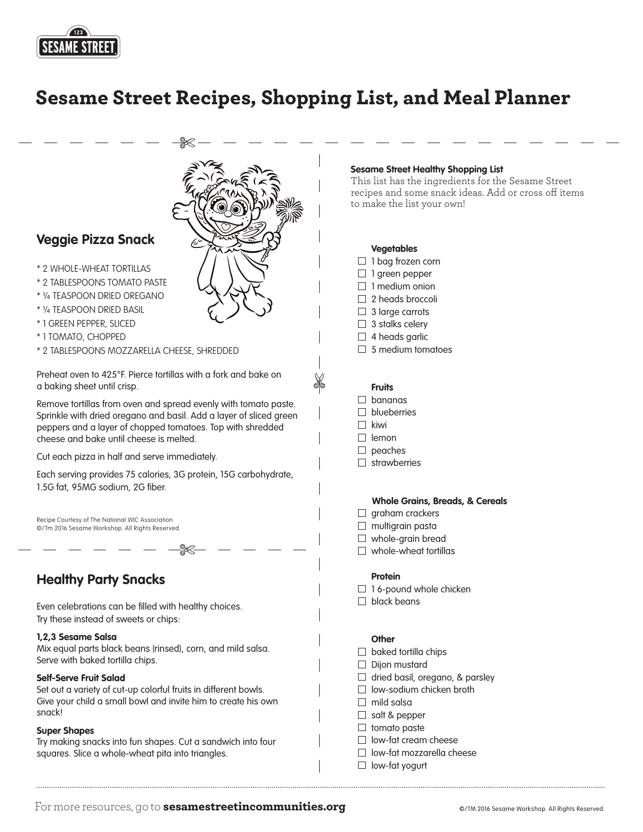

## Sesame Street Recipes, Shopping List, and Meal Planner



- \* 2 WHOLE-WHEAT TORTILLAS
- \* 2 TABLESPOONS TOMATO PASTE
- \* ¼ TEASPOON DRIED OREGANO
- \* ¼ TEASPOON DRIED BASIL
- \* 1 GREEN PEPPER, SLICED
- \* 1 TOMATO, CHOPPED
- \* 2 TABLESPOONS MOZZARELLA CHEESE, SHREDDED

Preheat oven to 425°F. Pierce tortillas with a fork and bake on a baking sheet until crisp.

Remove tortillas from oven and spread evenly with tomato paste. Sprinkle with dried oregano and basil. Add a layer of sliced green peppers and a layer of chopped tomatoes. Top with shredded cheese and bake until cheese is melted.

Cut each pizza in half and serve immediately.

Each serving provides 75 calories, 3G protein, 15G carbohydrate, 1.5G fat, 95MG sodium, 2G fiber.

Recipe Courtesy of The National WIC Association ©/Tm 2016 Sesame Workshop. All Rights Reserved.

### **Healthy Party Snacks**

Even celebrations can be flled with healthy choices. Try these instead of sweets or chips:

#### **1,2,3 Sesame Salsa**

Mix equal parts black beans (rinsed), corn, and mild salsa. Serve with baked tortilla chips.

#### **Self-Serve Fruit Salad**

Set out a variety of cut-up colorful fruits in different bowls. Give your child a small bowl and invite him to create his own snack!

#### **Super Shapes**

Try making snacks into fun shapes. Cut a sandwich into four squares. Slice a whole-wheat pita into triangles.

#### **Sesame Street Healthy Shopping List**

This list has the ingredients for the Sesame Street recipes and some snack ideas. Add or cross off items to make the list your own!

#### **Vegetables**

- $\Box$  1 bag frozen corn
- $\Box$  1 green pepper
- $\Box$  1 medium onion
- $\Box$  2 heads broccoli
- $\Box$  3 large carrots
- $\Box$  3 stalks celery
- $\Box$  4 heads garlic
- $\Box$  5 medium tomatoes

#### **Fruits**

- $\Box$  bananas
- $\Box$  blueberries
- $\Box$  kiwi
- $\Box$  lemon
- $\Box$  peaches
- $\Box$  strawberries

#### **Whole Grains, Breads, & Cereals**

- $\Box$  graham crackers
- $\Box$  multigrain pasta
- $\Box$  whole-grain bread
- $\Box$  whole-wheat tortillas

#### **Protein**

- $\Box$  16-pound whole chicken
- $\Box$  black beans

#### **Other**

- $\Box$  baked tortilla chips  $\Box$  Dijon mustard  $\Box$  dried basil, oregano, & parsley  $\Box$  low-sodium chicken broth  $\Box$  mild salsa  $\Box$  salt & pepper
- $\Box$  tomato paste
- $\Box$  low-fat cream cheese
- $\Box$  low-fat mozzarella cheese
- $\Box$  low-fat yogurt